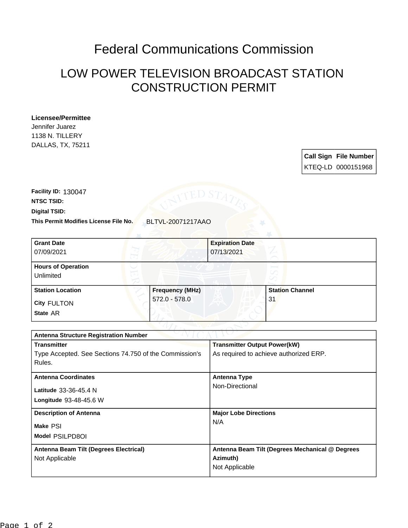## Federal Communications Commission

## LOW POWER TELEVISION BROADCAST STATION CONSTRUCTION PERMIT

## **Licensee/Permittee**

Jennifer Juarez 1138 N. TILLERY DALLAS, TX, 75211

> **Call Sign File Number** KTEQ-LD 0000151968

**This Permit Modifies License File No.** BLTVL-20071217AAO **Digital TSID: NTSC TSID: Facility ID:** 130047

| <b>Grant Date</b><br>07/09/2021        | <b>Expiration Date</b><br>07/13/2021 |                        |
|----------------------------------------|--------------------------------------|------------------------|
| <b>Hours of Operation</b><br>Unlimited |                                      | N                      |
| <b>Station Location</b>                | <b>Frequency (MHz)</b>               | <b>Station Channel</b> |
| <b>City FULTON</b>                     | $572.0 - 578.0$                      | l 31                   |
| State AR                               |                                      |                        |

| <b>Antenna Structure Registration Number</b>           |                                                 |  |  |  |
|--------------------------------------------------------|-------------------------------------------------|--|--|--|
| <b>Transmitter</b>                                     | <b>Transmitter Output Power(kW)</b>             |  |  |  |
| Type Accepted. See Sections 74.750 of the Commission's | As required to achieve authorized ERP.          |  |  |  |
| Rules.                                                 |                                                 |  |  |  |
| <b>Antenna Coordinates</b>                             | <b>Antenna Type</b>                             |  |  |  |
| Latitude 33-36-45.4 N                                  | Non-Directional                                 |  |  |  |
| <b>Longitude 93-48-45.6 W</b>                          |                                                 |  |  |  |
|                                                        |                                                 |  |  |  |
| <b>Description of Antenna</b>                          | <b>Major Lobe Directions</b>                    |  |  |  |
| Make PSI                                               | N/A                                             |  |  |  |
| Model PSILPD8OI                                        |                                                 |  |  |  |
|                                                        |                                                 |  |  |  |
| Antenna Beam Tilt (Degrees Electrical)                 | Antenna Beam Tilt (Degrees Mechanical @ Degrees |  |  |  |
| Not Applicable                                         | Azimuth)                                        |  |  |  |
|                                                        | Not Applicable                                  |  |  |  |
|                                                        |                                                 |  |  |  |